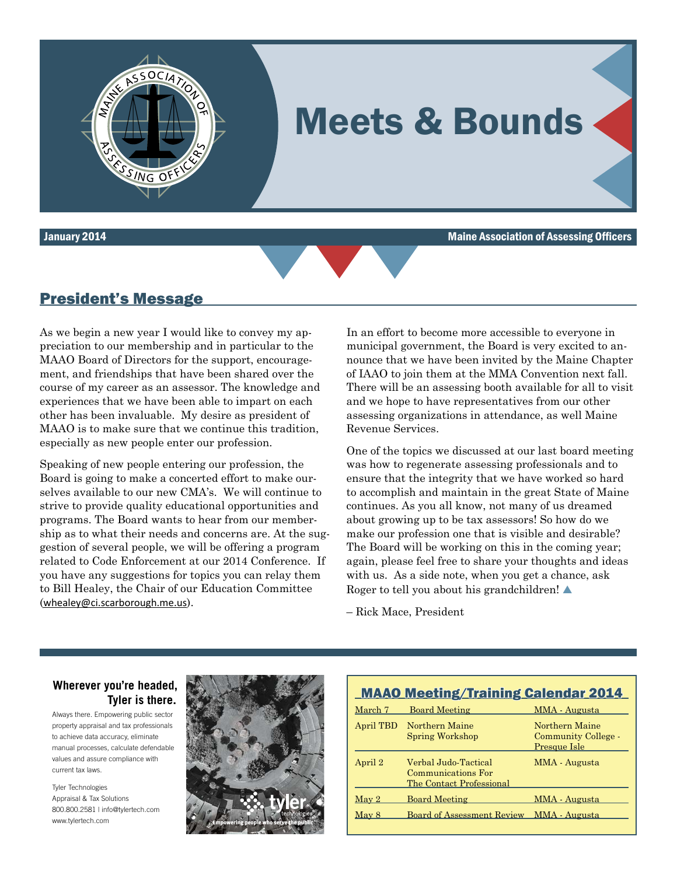

January 2014 Maine Association of Assessing Officers



#### President's Message

As we begin a new year I would like to convey my appreciation to our membership and in particular to the MAAO Board of Directors for the support, encouragement, and friendships that have been shared over the course of my career as an assessor. The knowledge and experiences that we have been able to impart on each other has been invaluable. My desire as president of MAAO is to make sure that we continue this tradition, especially as new people enter our profession.

**ALAMAZOR** 

Speaking of new people entering our profession, the Board is going to make a concerted effort to make ourselves available to our new CMA's. We will continue to strive to provide quality educational opportunities and programs. The Board wants to hear from our membership as to what their needs and concerns are. At the suggestion of several people, we will be offering a program related to Code Enforcement at our 2014 Conference. If you have any suggestions for topics you can relay them to Bill Healey, the Chair of our Education Committee ([whealey@ci.scarborough.me.us](mailto:whealey@ci.scarborough.me.us)).

MAAO Ad 01-08-14.pdf 1 1/7/14 6:21 PM

In an effort to become more accessible to everyone in municipal government, the Board is very excited to announce that we have been invited by the Maine Chapter of IAAO to join them at the MMA Convention next fall. There will be an assessing booth available for all to visit and we hope to have representatives from our other assessing organizations in attendance, as well Maine Revenue Services.

One of the topics we discussed at our last board meeting was how to regenerate assessing professionals and to ensure that the integrity that we have worked so hard to accomplish and maintain in the great State of Maine continues. As you all know, not many of us dreamed about growing up to be tax assessors! So how do we make our profession one that is visible and desirable? The Board will be working on this in the coming year; again, please feel free to share your thoughts and ideas with us. As a side note, when you get a chance, ask Roger to tell you about his grandchildren!  $\triangle$ 

– Rick Mace, President

#### **Tyler is there. Wherever you're headed,**

Always there. Empowering public sector property appraisal and tax professionals to achieve data accuracy, eliminate manual processes, calculate defendable values and assure compliance with current tax laws.

Tyler Technologies Appraisal & Tax Solutions 800.800.2581 | info@tylertech.com www.tylertech.com



|               | <b>MAAO Meeting/Training Calendar 2014</b>                             |                                                       |
|---------------|------------------------------------------------------------------------|-------------------------------------------------------|
| March 7       | <b>Board Meeting</b>                                                   | MMA - Augusta                                         |
|               | April TBD Northern Maine<br><b>Spring Workshop</b>                     | Northern Maine<br>Community College -<br>Presque Isle |
| April 2       | Verbal Judo-Tactical<br>Communications For<br>The Contact Professional | MMA - Augusta                                         |
| ${\rm Mav}$ 2 | <b>Board Meeting</b>                                                   | MMA - Augusta                                         |
| May 8         | Board of Assessment Review MMA - Augusta                               |                                                       |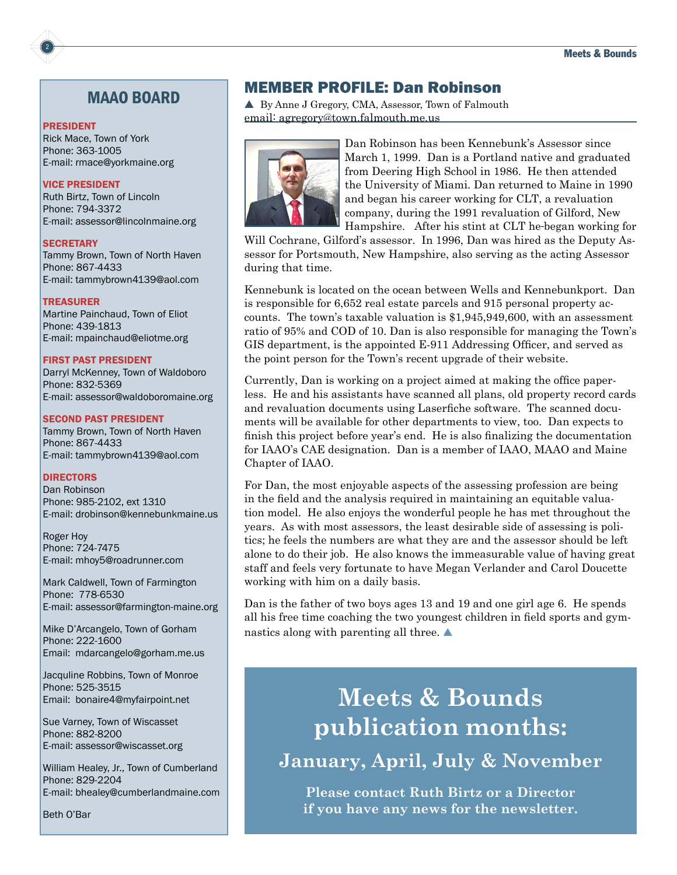#### MAAO BOARD

#### PRESIDENT

Rick Mace, Town of York Phone: 363-1005 E-mail: rmace@yorkmaine.org

#### VICE PRESIDENT

Ruth Birtz, Town of Lincoln Phone: 794-3372 E-mail: assessor@lincolnmaine.org

#### **SECRETARY**

Tammy Brown, Town of North Haven Phone: 867-4433 E-mail: tammybrown4139@aol.com

#### TREASURER

Martine Painchaud, Town of Eliot Phone: 439-1813 E-mail: mpainchaud@eliotme.org

#### FIRST PAST PRESIDENT

Darryl McKenney, Town of Waldoboro Phone: 832-5369 E-mail: assessor@waldoboromaine.org

#### SECOND PAST PRESIDENT

Tammy Brown, Town of North Haven Phone: 867-4433 E-mail: tammybrown4139@aol.com

#### **DIRECTORS**

Dan Robinson Phone: 985-2102, ext 1310 E-mail: drobinson@kennebunkmaine.us

Roger Hoy Phone: 724-7475 E-mail: mhoy5@roadrunner.com

Mark Caldwell, Town of Farmington Phone: 778-6530 E-mail: assessor@farmington-maine.org

Mike D'Arcangelo, Town of Gorham Phone: 222-1600 Email: mdarcangelo@gorham.me.us

Jacquline Robbins, Town of Monroe Phone: 525-3515 Email: bonaire4@myfairpoint.net

Sue Varney, Town of Wiscasset Phone: 882-8200 E-mail: assessor@wiscasset.org

William Healey, Jr., Town of Cumberland Phone: 829-2204 E-mail: bhealey@cumberlandmaine.com

Beth O'Bar

#### MEMBER PROFILE: Dan Robinson

▲ By Anne J Gregory, CMA, Assessor, Town of Falmouth email: agregory@town.falmouth.me.us



Dan Robinson has been Kennebunk's Assessor since March 1, 1999. Dan is a Portland native and graduated from Deering High School in 1986. He then attended the University of Miami. Dan returned to Maine in 1990 and began his career working for CLT, a revaluation company, during the 1991 revaluation of Gilford, New Hampshire. After his stint at CLT he began working for

Will Cochrane, Gilford's assessor. In 1996, Dan was hired as the Deputy Assessor for Portsmouth, New Hampshire, also serving as the acting Assessor during that time.

Kennebunk is located on the ocean between Wells and Kennebunkport. Dan is responsible for 6,652 real estate parcels and 915 personal property accounts. The town's taxable valuation is \$1,945,949,600, with an assessment ratio of 95% and COD of 10. Dan is also responsible for managing the Town's GIS department, is the appointed E-911 Addressing Officer, and served as the point person for the Town's recent upgrade of their website.

Currently, Dan is working on a project aimed at making the office paperless. He and his assistants have scanned all plans, old property record cards and revaluation documents using Laserfiche software. The scanned documents will be available for other departments to view, too. Dan expects to finish this project before year's end. He is also finalizing the documentation for IAAO's CAE designation. Dan is a member of IAAO, MAAO and Maine Chapter of IAAO.

For Dan, the most enjoyable aspects of the assessing profession are being in the field and the analysis required in maintaining an equitable valuation model. He also enjoys the wonderful people he has met throughout the years. As with most assessors, the least desirable side of assessing is politics; he feels the numbers are what they are and the assessor should be left alone to do their job. He also knows the immeasurable value of having great staff and feels very fortunate to have Megan Verlander and Carol Doucette working with him on a daily basis.

Dan is the father of two boys ages 13 and 19 and one girl age 6. He spends all his free time coaching the two youngest children in field sports and gymnastics along with parenting all three.  $\blacktriangle$ 

# **Meets & Bounds publication months:**

**January, April, July & November**

**Please contact Ruth Birtz or a Director if you have any news for the newsletter.**

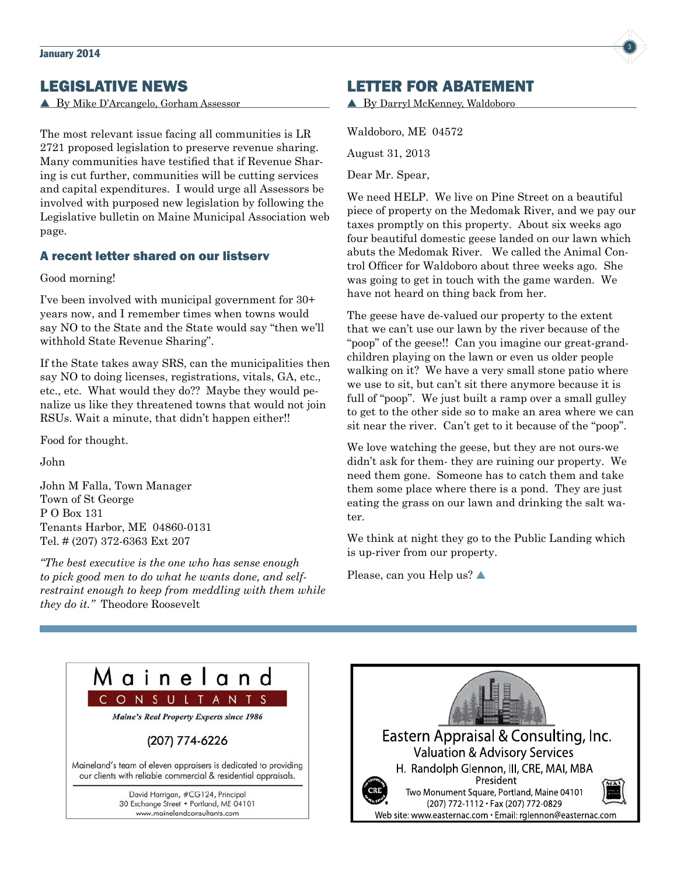## LEGISLATIVE NEWS

▲ By Mike D'Arcangelo, Gorham Assessor

The most relevant issue facing all communities is LR 2721 proposed legislation to preserve revenue sharing. Many communities have testified that if Revenue Sharing is cut further, communities will be cutting services and capital expenditures. I would urge all Assessors be involved with purposed new legislation by following the Legislative bulletin on Maine Municipal Association web page.

#### A recent letter shared on our listserv

Good morning!

I've been involved with municipal government for 30+ years now, and I remember times when towns would say NO to the State and the State would say "then we'll withhold State Revenue Sharing".

If the State takes away SRS, can the municipalities then say NO to doing licenses, registrations, vitals, GA, etc., etc., etc. What would they do?? Maybe they would penalize us like they threatened towns that would not join RSUs. Wait a minute, that didn't happen either!!

Food for thought.

John

John M Falla, Town Manager Town of St George P O Box 131 Tenants Harbor, ME 04860-0131 Tel. # (207) 372-6363 Ext 207

*"The best executive is the one who has sense enough to pick good men to do what he wants done, and selfrestraint enough to keep from meddling with them while they do it."* Theodore Roosevelt

## LETTER FOR ABATEMENT

▲ By Darryl McKenney, Waldoboro

Waldoboro, ME 04572 August 31, 2013 Dear Mr. Spear,

We need HELP. We live on Pine Street on a beautiful piece of property on the Medomak River, and we pay our taxes promptly on this property. About six weeks ago four beautiful domestic geese landed on our lawn which abuts the Medomak River. We called the Animal Control Officer for Waldoboro about three weeks ago. She was going to get in touch with the game warden. We have not heard on thing back from her.

The geese have de-valued our property to the extent that we can't use our lawn by the river because of the "poop" of the geese!! Can you imagine our great-grandchildren playing on the lawn or even us older people walking on it? We have a very small stone patio where we use to sit, but can't sit there anymore because it is full of "poop". We just built a ramp over a small gulley to get to the other side so to make an area where we can sit near the river. Can't get to it because of the "poop".

We love watching the geese, but they are not ours-we didn't ask for them- they are ruining our property. We need them gone. Someone has to catch them and take them some place where there is a pond. They are just eating the grass on our lawn and drinking the salt water.

We think at night they go to the Public Landing which is up-river from our property.

Please, can you Help us?  $\triangle$ 





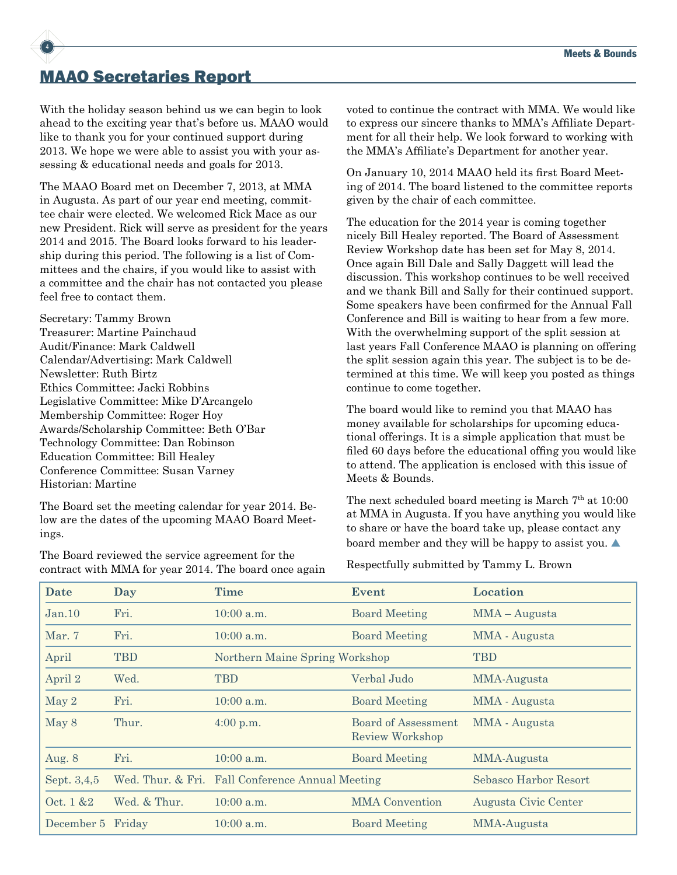## MAAO Secretaries Report

4

With the holiday season behind us we can begin to look ahead to the exciting year that's before us. MAAO would like to thank you for your continued support during 2013. We hope we were able to assist you with your assessing & educational needs and goals for 2013.

The MAAO Board met on December 7, 2013, at MMA in Augusta. As part of our year end meeting, committee chair were elected. We welcomed Rick Mace as our new President. Rick will serve as president for the years 2014 and 2015. The Board looks forward to his leadership during this period. The following is a list of Committees and the chairs, if you would like to assist with a committee and the chair has not contacted you please feel free to contact them.

Secretary: Tammy Brown Treasurer: Martine Painchaud Audit/Finance: Mark Caldwell Calendar/Advertising: Mark Caldwell Newsletter: Ruth Birtz Ethics Committee: Jacki Robbins Legislative Committee: Mike D'Arcangelo Membership Committee: Roger Hoy Awards/Scholarship Committee: Beth O'Bar Technology Committee: Dan Robinson Education Committee: Bill Healey Conference Committee: Susan Varney Historian: Martine

The Board set the meeting calendar for year 2014. Below are the dates of the upcoming MAAO Board Meetings.

The Board reviewed the service agreement for the contract with MMA for year 2014. The board once again voted to continue the contract with MMA. We would like to express our sincere thanks to MMA's Affiliate Department for all their help. We look forward to working with the MMA's Affiliate's Department for another year.

On January 10, 2014 MAAO held its first Board Meeting of 2014. The board listened to the committee reports given by the chair of each committee.

The education for the 2014 year is coming together nicely Bill Healey reported. The Board of Assessment Review Workshop date has been set for May 8, 2014. Once again Bill Dale and Sally Daggett will lead the discussion. This workshop continues to be well received and we thank Bill and Sally for their continued support. Some speakers have been confirmed for the Annual Fall Conference and Bill is waiting to hear from a few more. With the overwhelming support of the split session at last years Fall Conference MAAO is planning on offering the split session again this year. The subject is to be determined at this time. We will keep you posted as things continue to come together.

The board would like to remind you that MAAO has money available for scholarships for upcoming educational offerings. It is a simple application that must be filed 60 days before the educational offing you would like to attend. The application is enclosed with this issue of Meets & Bounds.

The next scheduled board meeting is March  $7<sup>th</sup>$  at  $10:00$ at MMA in Augusta. If you have anything you would like to share or have the board take up, please contact any board member and they will be happy to assist you.  $\blacktriangle$ 

Respectfully submitted by Tammy L. Brown

| Date        | Day          | <b>Time</b>                                      | Event                                         | Location              |
|-------------|--------------|--------------------------------------------------|-----------------------------------------------|-----------------------|
| Jan.10      | Fri.         | $10:00$ a.m.                                     | <b>Board Meeting</b>                          | MMA - Augusta         |
| Mar. 7      | Fri.         | $10:00$ a.m.                                     | <b>Board Meeting</b>                          | MMA - Augusta         |
| April       | TBD          | Northern Maine Spring Workshop                   |                                               | <b>TBD</b>            |
| April 2     | Wed.         | <b>TBD</b>                                       | Verbal Judo                                   | MMA-Augusta           |
| May 2       | Fri.         | $10:00$ a.m.                                     | <b>Board Meeting</b>                          | MMA - Augusta         |
| May 8       | Thur.        | $4:00 \text{ p.m.}$                              | Board of Assessment<br><b>Review Workshop</b> | MMA - Augusta         |
| Aug. 8      | Fri.         | $10:00$ a.m.                                     | <b>Board Meeting</b>                          | MMA-Augusta           |
| Sept. 3,4,5 |              | Wed. Thur. & Fri. Fall Conference Annual Meeting |                                               | Sebasco Harbor Resort |
| Oct. 1 & 2  | Wed. & Thur. | 10:00 a.m.                                       | <b>MMA</b> Convention                         | Augusta Civic Center  |
| December 5  | Friday       | $10:00$ a.m.                                     | <b>Board Meeting</b>                          | MMA-Augusta           |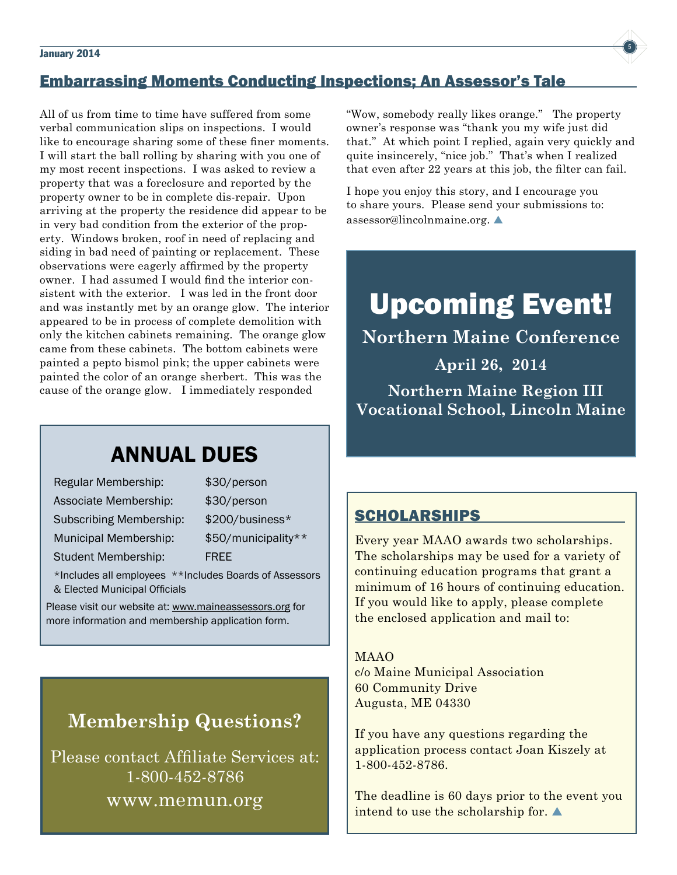#### $J$ anuary 2014  $\sqrt{5}$



All of us from time to time have suffered from some verbal communication slips on inspections. I would like to encourage sharing some of these finer moments. I will start the ball rolling by sharing with you one of my most recent inspections. I was asked to review a property that was a foreclosure and reported by the property owner to be in complete dis-repair. Upon arriving at the property the residence did appear to be in very bad condition from the exterior of the property. Windows broken, roof in need of replacing and siding in bad need of painting or replacement. These observations were eagerly affirmed by the property owner. I had assumed I would find the interior consistent with the exterior. I was led in the front door and was instantly met by an orange glow. The interior appeared to be in process of complete demolition with only the kitchen cabinets remaining. The orange glow came from these cabinets. The bottom cabinets were painted a pepto bismol pink; the upper cabinets were painted the color of an orange sherbert. This was the cause of the orange glow. I immediately responded

## **ANNUAL DUES**

| Regular Membership:                                   | \$30/person         |
|-------------------------------------------------------|---------------------|
| Associate Membership:                                 | \$30/person         |
| <b>Subscribing Membership:</b>                        | \$200/business*     |
| Municipal Membership:                                 | \$50/municipality** |
| <b>Student Membership:</b>                            | <b>FREE</b>         |
| *Includes all employees **Includes Peards of Assessed |                     |

Includes all employees \*\*Includes Boards of Assessors & Elected Municipal Officials

Please visit our website at: www.maineassessors.org for more information and membership application form.

## **Membership Questions?**

Please contact Affiliate Services at: 1-800-452-8786 www.memun.org

"Wow, somebody really likes orange." The property owner's response was "thank you my wife just did that." At which point I replied, again very quickly and quite insincerely, "nice job." That's when I realized that even after 22 years at this job, the filter can fail.

I hope you enjoy this story, and I encourage you to share yours. Please send your submissions to: assessor@lincolnmaine.org. $\blacktriangle$ 

# Upcoming Event!

**Northern Maine Conference**

**April 26, 2014 Northern Maine Region III Vocational School, Lincoln Maine**

## **SCHOLARSHIPS**

Every year MAAO awards two scholarships. The scholarships may be used for a variety of continuing education programs that grant a minimum of 16 hours of continuing education. If you would like to apply, please complete the enclosed application and mail to:

#### MAAO

c/o Maine Municipal Association 60 Community Drive Augusta, ME 04330

If you have any questions regarding the application process contact Joan Kiszely at 1-800-452-8786.

The deadline is 60 days prior to the event you intend to use the scholarship for.  $\blacktriangle$ 

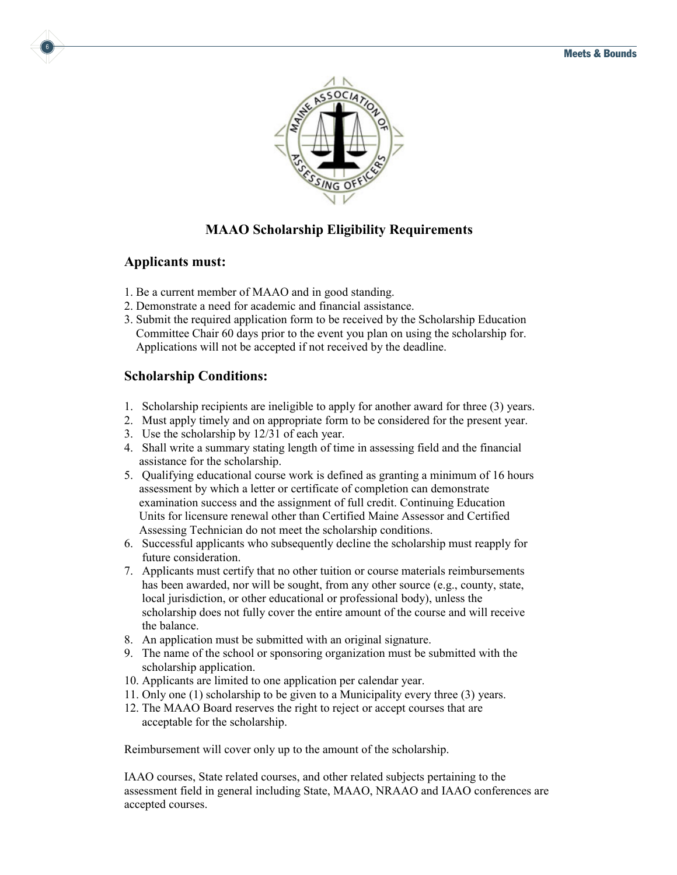

## **MAAO Scholarship Eligibility Requirements**

#### **Applicants must:**

6

- 1. Be a current member of MAAO and in good standing.
- 2. Demonstrate a need for academic and financial assistance.
- 3. Submit the required application form to be received by the Scholarship Education Committee Chair 60 days prior to the event you plan on using the scholarship for. Applications will not be accepted if not received by the deadline.

#### **Scholarship Conditions:**

- 1. Scholarship recipients are ineligible to apply for another award for three (3) years.
- 2. Must apply timely and on appropriate form to be considered for the present year.
- 3. Use the scholarship by 12/31 of each year.
- 4. Shall write a summary stating length of time in assessing field and the financial assistance for the scholarship.
- 5. Qualifying educational course work is defined as granting a minimum of 16 hours assessment by which a letter or certificate of completion can demonstrate examination success and the assignment of full credit. Continuing Education Units for licensure renewal other than Certified Maine Assessor and Certified Assessing Technician do not meet the scholarship conditions.
- 6. Successful applicants who subsequently decline the scholarship must reapply for future consideration.
- 7. Applicants must certify that no other tuition or course materials reimbursements has been awarded, nor will be sought, from any other source (e.g., county, state, local jurisdiction, or other educational or professional body), unless the scholarship does not fully cover the entire amount of the course and will receive the balance.
- 8. An application must be submitted with an original signature.
- 9. The name of the school or sponsoring organization must be submitted with the scholarship application.
- 10. Applicants are limited to one application per calendar year.
- 11. Only one (1) scholarship to be given to a Municipality every three (3) years.
- 12. The MAAO Board reserves the right to reject or accept courses that are acceptable for the scholarship.

Reimbursement will cover only up to the amount of the scholarship.

IAAO courses, State related courses, and other related subjects pertaining to the assessment field in general including State, MAAO, NRAAO and IAAO conferences are accepted courses.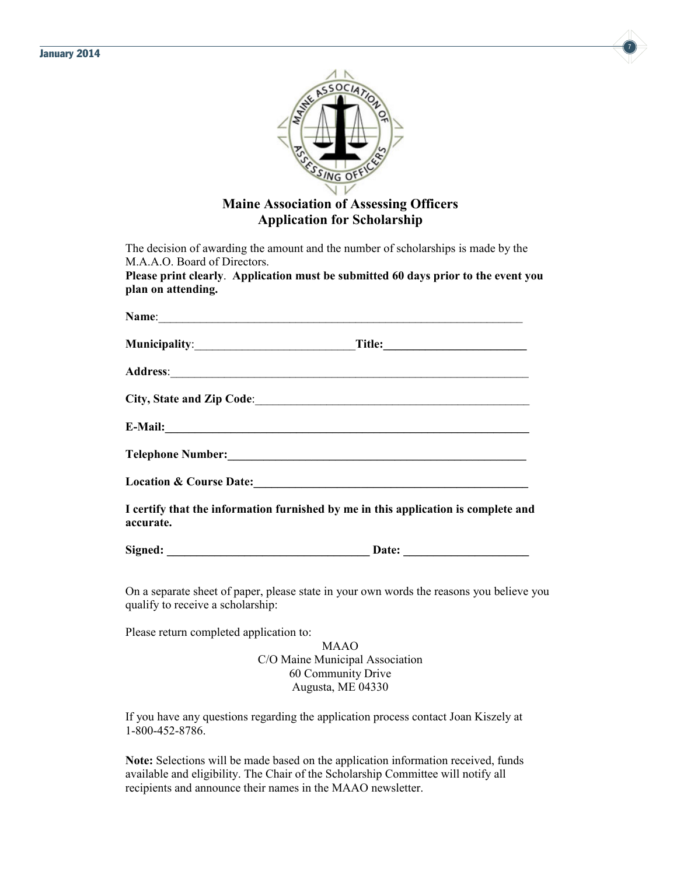



## **Maine Association of Assessing Officers Application for Scholarship**

The decision of awarding the amount and the number of scholarships is made by the M.A.A.O. Board of Directors.

**Please print clearly**. **Application must be submitted 60 days prior to the event you plan on attending.**

|           | Name:                                                                                                                                                                                                                          |
|-----------|--------------------------------------------------------------------------------------------------------------------------------------------------------------------------------------------------------------------------------|
|           |                                                                                                                                                                                                                                |
|           |                                                                                                                                                                                                                                |
|           |                                                                                                                                                                                                                                |
|           | E-Mail: Latin Communication of the Communication of the Communication of the Communication of the Communication of the Communication of the Communication of the Communication of the Communication of the Communication of th |
|           |                                                                                                                                                                                                                                |
|           |                                                                                                                                                                                                                                |
| accurate. | I certify that the information furnished by me in this application is complete and                                                                                                                                             |
|           |                                                                                                                                                                                                                                |

On a separate sheet of paper, please state in your own words the reasons you believe you qualify to receive a scholarship:

Please return completed application to:

MAAO C/O Maine Municipal Association 60 Community Drive Augusta, ME 04330

If you have any questions regarding the application process contact Joan Kiszely at 1-800-452-8786.

**Note:** Selections will be made based on the application information received, funds available and eligibility. The Chair of the Scholarship Committee will notify all recipients and announce their names in the MAAO newsletter.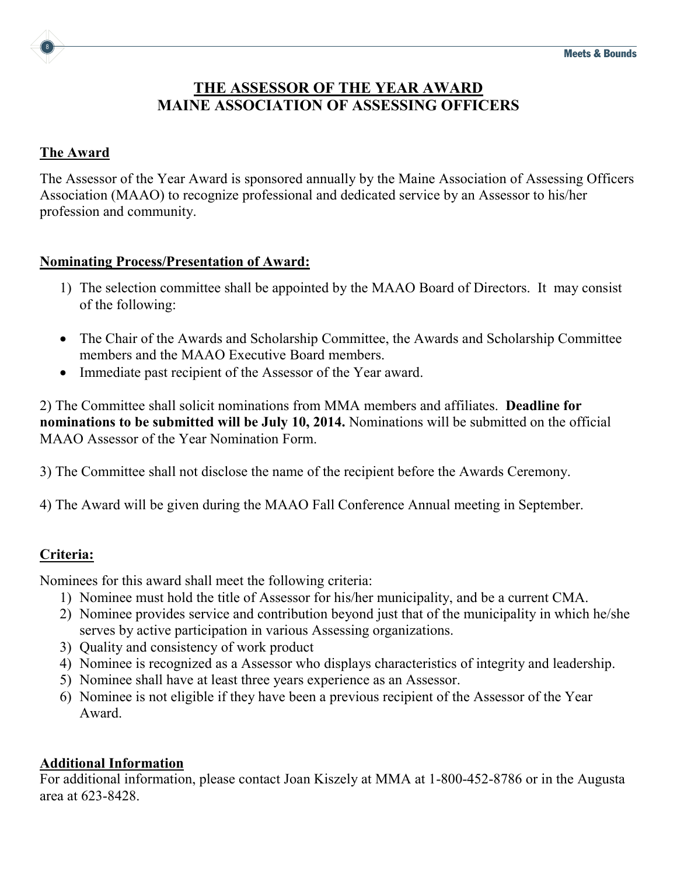

## **THE ASSESSOR OF THE YEAR AWARD MAINE ASSOCIATION OF ASSESSING OFFICERS**

#### **The Award**

The Assessor of the Year Award is sponsored annually by the Maine Association of Assessing Officers Association (MAAO) to recognize professional and dedicated service by an Assessor to his/her profession and community.

#### **Nominating Process/Presentation of Award:**

- 1) The selection committee shall be appointed by the MAAO Board of Directors. It may consist of the following:
- The Chair of the Awards and Scholarship Committee, the Awards and Scholarship Committee members and the MAAO Executive Board members.
- Immediate past recipient of the Assessor of the Year award.

2) The Committee shall solicit nominations from MMA members and affiliates. **Deadline for nominations to be submitted will be July 10, 2014.** Nominations will be submitted on the official MAAO Assessor of the Year Nomination Form.

- 3) The Committee shall not disclose the name of the recipient before the Awards Ceremony.
- 4) The Award will be given during the MAAO Fall Conference Annual meeting in September.

## **Criteria:**

Nominees for this award shall meet the following criteria:

- 1) Nominee must hold the title of Assessor for his/her municipality, and be a current CMA.
- 2) Nominee provides service and contribution beyond just that of the municipality in which he/she serves by active participation in various Assessing organizations.
- 3) Quality and consistency of work product
- 4) Nominee is recognized as a Assessor who displays characteristics of integrity and leadership.
- 5) Nominee shall have at least three years experience as an Assessor.
- 6) Nominee is not eligible if they have been a previous recipient of the Assessor of the Year Award.

## **Additional Information**

For additional information, please contact Joan Kiszely at MMA at 1-800-452-8786 or in the Augusta area at 623-8428.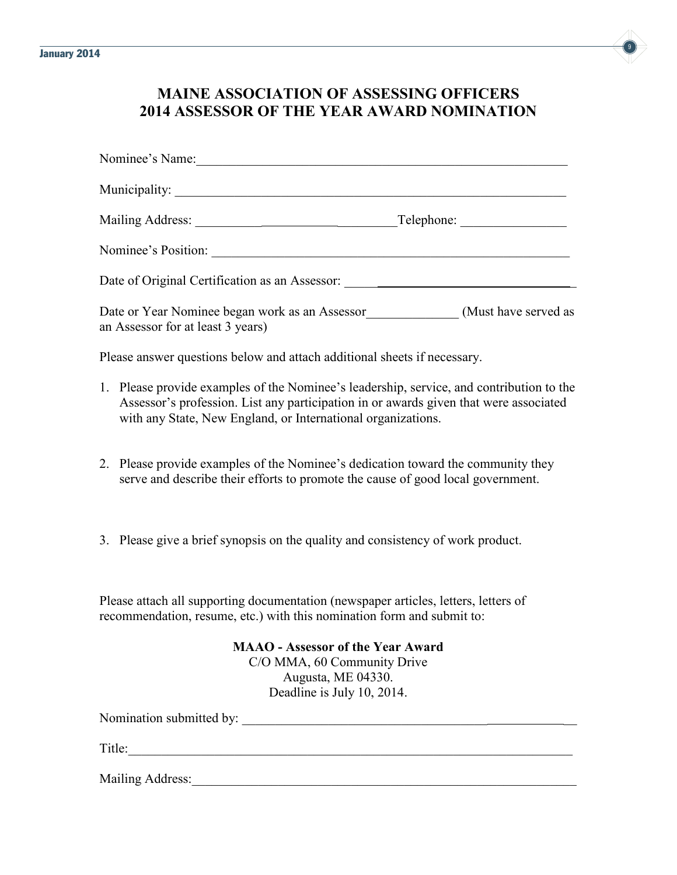

## **MAINE ASSOCIATION OF ASSESSING OFFICERS 2014 ASSESSOR OF THE YEAR AWARD NOMINATION**

| Nominee's Name:                                                                          |            |
|------------------------------------------------------------------------------------------|------------|
|                                                                                          |            |
|                                                                                          | Telephone: |
|                                                                                          |            |
| Date of Original Certification as an Assessor: _________________________________         |            |
| an Assessor for at least 3 years)                                                        |            |
| Please answer questions below and attach additional sheets if necessary.                 |            |
| 1. Discovered in commutes of the Manuface 2. Including a contract of contribution to the |            |

- 1. Please provide examples of the Nominee's leadership, service, and contribution to the Assessor's profession. List any participation in or awards given that were associated with any State, New England, or International organizations.
- 2. Please provide examples of the Nominee's dedication toward the community they serve and describe their efforts to promote the cause of good local government.
- 3. Please give a brief synopsis on the quality and consistency of work product.

Please attach all supporting documentation (newspaper articles, letters, letters of recommendation, resume, etc.) with this nomination form and submit to:

> **MAAO - Assessor of the Year Award** C/O MMA, 60 Community Drive Augusta, ME 04330. Deadline is July 10, 2014.

Nomination submitted by: \_\_\_\_\_\_\_\_\_\_\_\_\_\_\_\_\_\_\_\_\_\_\_\_\_\_\_\_\_\_\_\_\_\_\_\_\_ \_\_ Title:\_\_\_\_\_\_\_\_\_\_\_\_\_\_\_\_\_\_\_\_\_\_\_\_\_\_\_\_\_\_\_\_\_\_\_\_\_\_\_\_\_\_\_\_\_\_\_\_\_\_\_\_\_\_\_\_\_\_\_\_\_\_\_\_\_\_\_ Mailing Address: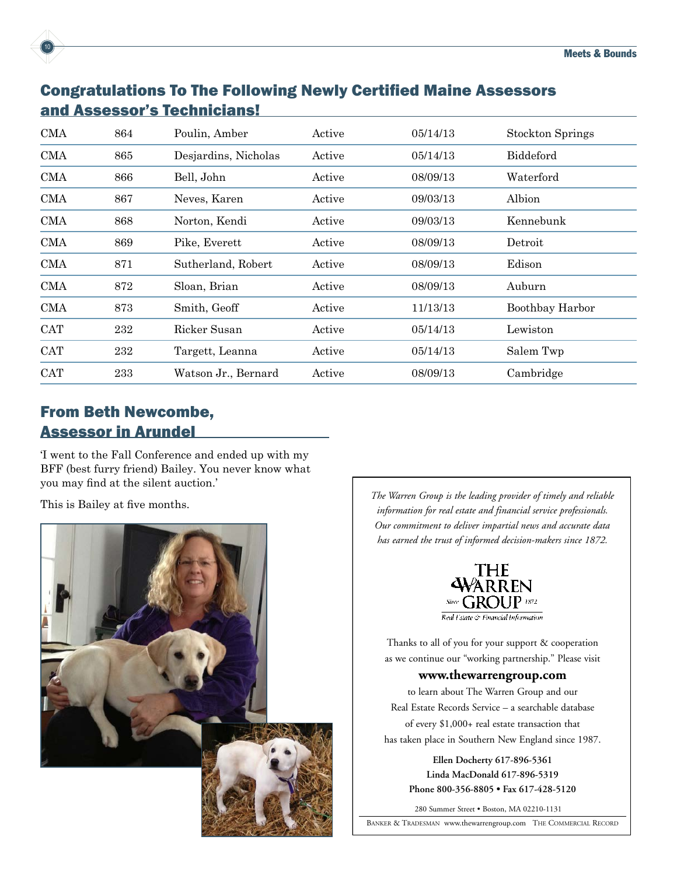

| <b>CMA</b> | 864 | Poulin, Amber        | Active | 05/14/13 | <b>Stockton Springs</b> |
|------------|-----|----------------------|--------|----------|-------------------------|
| <b>CMA</b> | 865 | Desjardins, Nicholas | Active | 05/14/13 | Biddeford               |
| <b>CMA</b> | 866 | Bell, John           | Active | 08/09/13 | Waterford               |
| <b>CMA</b> | 867 | Neves, Karen         | Active | 09/03/13 | Albion                  |
| CMA        | 868 | Norton, Kendi        | Active | 09/03/13 | Kennebunk               |
| <b>CMA</b> | 869 | Pike, Everett        | Active | 08/09/13 | Detroit                 |
| CMA        | 871 | Sutherland, Robert   | Active | 08/09/13 | Edison                  |
| <b>CMA</b> | 872 | Sloan, Brian         | Active | 08/09/13 | Auburn                  |
| <b>CMA</b> | 873 | Smith, Geoff         | Active | 11/13/13 | Boothbay Harbor         |
| <b>CAT</b> | 232 | Ricker Susan         | Active | 05/14/13 | Lewiston                |
| <b>CAT</b> | 232 | Targett, Leanna      | Active | 05/14/13 | Salem Twp               |
| <b>CAT</b> | 233 | Watson Jr., Bernard  | Active | 08/09/13 | Cambridge               |

## From Beth Newcombe, Assessor in Arundel

10

'I went to the Fall Conference and ended up with my BFF (best furry friend) Bailey. You never know what you may find at the silent auction.'



This is Bailey at five months.<br>**This is Bailey at five months.** *The Warren Group is the leading provider of timely and reliable information for real estate and financial service professionals. Our commitment to deliver impartial news and accurate data has earned the trust of informed decision-makers since 1872.*



Thanks to all of you for your support & cooperation as we continue our "working partnership." Please visit

#### **www.thewarrengroup.com**

to learn about The Warren Group and our Real Estate Records Service – a searchable database of every \$1,000+ real estate transaction that has taken place in Southern New England since 1987.

 **Ellen Docherty • Elizabeth Santos phone 800-356-8805 • fax 617-428-5120 Linda MacDonald 617-896-5319 phone 800-356-8805 • fax 617-428-5120 Phone 800-356-8805 • Fax 617-428-5120Ellen Docherty 617-896-5361 Ellen Docherty 617-896-5361**

280 Summer Street • Boston, MA 02210-1131

BANKER & TRADESMAN www.thewarrengroup.com THE COMMERCIAL RECORD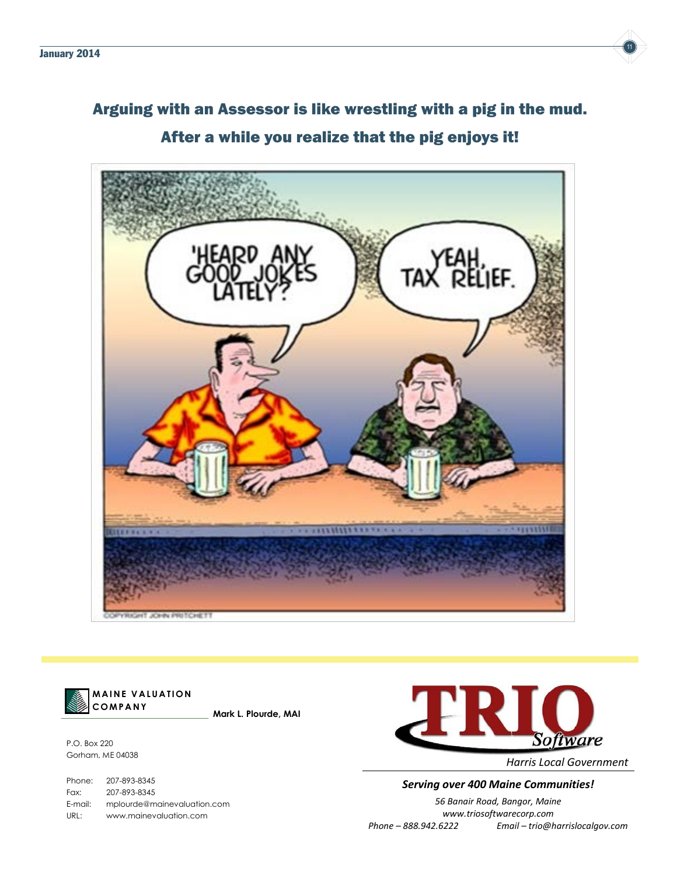

## Arguing with an Assessor is like wrestling with a pig in the mud. After a while you realize that the pig enjoys it!





**MAINE VALUATION Mark L. Plourde, MAI**

P.O. Box 220 Gorham, ME 04038

**COMPANY**

Phone: 207-893-8345 Fax: 207-893-8345 E-mail: mplourde@mainevaluation.com URL: www.mainevaluation.com



*Harris Local Government*

#### **Serving over 400 Maine Communities!**

E-mail: mplourde@mainevaluation.com *56 Banair Road, Bangor, Maine* URL: www.mainevaluation.com *www.triosoftwarecorp.com Phone – 888.942.6222 Email – trio@harrislocalgov.com*